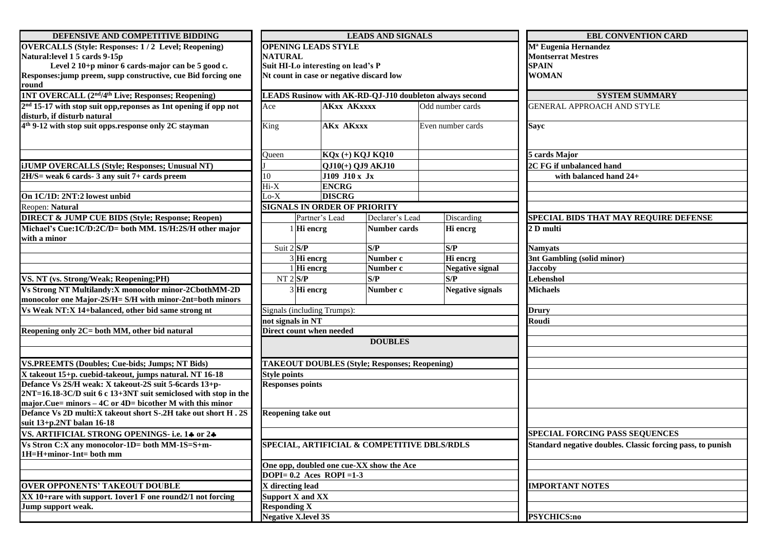| DEFENSIVE AND COMPETITIVE BIDDING                                            |                          |                                                         | <b>LEADS AND SIGNALS</b> |                   | <b>EBL CONVENTION CARD</b>                                 |                                              |  |  |  |
|------------------------------------------------------------------------------|--------------------------|---------------------------------------------------------|--------------------------|-------------------|------------------------------------------------------------|----------------------------------------------|--|--|--|
| <b>OVERCALLS (Style: Responses: 1/2 Level; Reopening)</b>                    |                          | <b>OPENING LEADS STYLE</b>                              |                          |                   | M <sup>ª</sup> Eugenia Hernandez                           |                                              |  |  |  |
| Natural: level 1 5 cards 9-15p                                               | <b>NATURAL</b>           |                                                         |                          |                   | <b>Montserrat Mestres</b>                                  |                                              |  |  |  |
| Level 2 10+p minor 6 cards-major can be 5 good c.                            |                          | Suit HI-Lo interesting on lead's P                      |                          |                   | <b>SPAIN</b>                                               |                                              |  |  |  |
| Responses: jump preem, supp constructive, cue Bid forcing one                |                          | Nt count in case or negative discard low                |                          |                   |                                                            | <b>WOMAN</b>                                 |  |  |  |
| round                                                                        |                          |                                                         |                          |                   |                                                            |                                              |  |  |  |
| 1NT OVERCALL (2 <sup>nd</sup> /4 <sup>th</sup> Live; Responses; Reopening)   |                          | LEADS Rusinow with AK-RD-QJ-J10 doubleton always second |                          |                   | <b>SYSTEM SUMMARY</b>                                      |                                              |  |  |  |
| 2 <sup>nd</sup> 15-17 with stop suit opp, reponses as 1nt opening if opp not | Ace                      |                                                         | <b>AKxx AKxxxx</b>       |                   | Odd number cards                                           | <b>GENERAL APPROACH AND STYLE</b>            |  |  |  |
| disturb, if disturb natural                                                  |                          |                                                         |                          |                   |                                                            |                                              |  |  |  |
| 4 <sup>th</sup> 9-12 with stop suit opps.response only 2C stayman            | <b>AKx AKxxx</b><br>King |                                                         |                          | Even number cards |                                                            | <b>Sayc</b>                                  |  |  |  |
|                                                                              |                          |                                                         |                          |                   |                                                            |                                              |  |  |  |
|                                                                              | Oueen                    | KQx (+) KQJ KQ10                                        |                          |                   |                                                            | 5 cards Major                                |  |  |  |
| <b>iJUMP OVERCALLS (Style; Responses; Unusual NT)</b>                        | QJ10(+) QJ9 AKJ10        |                                                         |                          |                   |                                                            | 2C FG if unbalanced hand                     |  |  |  |
| $2H/S = weak 6 cards - 3 any suit 7 + cards preem$                           | 10                       |                                                         | J109 J10 x Jx            |                   |                                                            | with balanced hand $24+$                     |  |  |  |
|                                                                              | $Hi-X$<br><b>ENCRG</b>   |                                                         |                          |                   |                                                            |                                              |  |  |  |
| On 1C/1D: 2NT:2 lowest unbid                                                 | $Lo-X$                   | <b>DISCRG</b>                                           |                          |                   |                                                            |                                              |  |  |  |
| Reopen: Natural                                                              |                          | <b>SIGNALS IN ORDER OF PRIORITY</b>                     |                          |                   |                                                            |                                              |  |  |  |
| <b>DIRECT &amp; JUMP CUE BIDS (Style; Response; Reopen)</b>                  |                          | Partner's Lead                                          | Declarer's Lead          |                   | Discarding                                                 | <b>SPECIAL BIDS THAT MAY REQUIRE DEFENSE</b> |  |  |  |
| Michael's Cue:1C/D:2C/D= both MM. 1S/H:2S/H other major                      |                          |                                                         | <b>Number cards</b>      |                   |                                                            | 2 D multi                                    |  |  |  |
| with a minor                                                                 |                          | Hi encrg                                                |                          |                   | Hi encrg                                                   |                                              |  |  |  |
|                                                                              | Suit 2 S/P               |                                                         | S/P                      | S/P               |                                                            | Namvats                                      |  |  |  |
|                                                                              |                          | $\overline{3}$ Hi encrg                                 | Number c                 |                   | Hi encrg                                                   | 3nt Gambling (solid minor)                   |  |  |  |
|                                                                              |                          | $1$ Hi encrg                                            | Number c                 |                   | <b>Negative signal</b>                                     | <b>Jaccoby</b>                               |  |  |  |
| VS. NT (vs. Strong/Weak; Reopening;PH)                                       | $NT 2$ $S/P$             |                                                         | S/P                      |                   | S/P                                                        | Lebenshol                                    |  |  |  |
| Vs Strong NT Multilandy: X monocolor minor-2CbothMM-2D                       |                          | $3$ Hi encrg                                            | Number c                 |                   | <b>Negative signals</b>                                    | <b>Michaels</b>                              |  |  |  |
| monocolor one Major-2S/H= S/H with minor-2nt=both minors                     |                          |                                                         |                          |                   |                                                            |                                              |  |  |  |
| Vs Weak NT:X 14+balanced, other bid same strong nt                           |                          | Signals (including Trumps):                             |                          |                   | <b>Drury</b>                                               |                                              |  |  |  |
|                                                                              | not signals in NT        |                                                         |                          |                   | Roudi                                                      |                                              |  |  |  |
| Reopening only 2C= both MM, other bid natural                                |                          | Direct count when needed                                |                          |                   |                                                            |                                              |  |  |  |
|                                                                              |                          |                                                         | <b>DOUBLES</b>           |                   |                                                            |                                              |  |  |  |
|                                                                              |                          |                                                         |                          |                   |                                                            |                                              |  |  |  |
| <b>VS.PREEMTS (Doubles; Cue-bids; Jumps; NT Bids)</b>                        |                          | <b>TAKEOUT DOUBLES (Style; Responses; Reopening)</b>    |                          |                   |                                                            |                                              |  |  |  |
| X takeout 15+p. cuebid-takeout, jumps natural. NT 16-18                      | <b>Style points</b>      |                                                         |                          |                   |                                                            |                                              |  |  |  |
| Defance Vs 2S/H weak: X takeout-2S suit 5-6cards 13+p-                       | <b>Responses points</b>  |                                                         |                          |                   |                                                            |                                              |  |  |  |
| 2NT=16.18-3C/D suit 6 c 13+3NT suit semiclosed with stop in the              |                          |                                                         |                          |                   |                                                            |                                              |  |  |  |
| major.Cue= minors $-$ 4C or 4D= bicother M with this minor                   |                          |                                                         |                          |                   |                                                            |                                              |  |  |  |
| Defance Vs 2D multi:X takeout short S-.2H take out short H.2S                |                          | <b>Reopening take out</b>                               |                          |                   |                                                            |                                              |  |  |  |
| suit 13+p.2NT balan 16-18                                                    |                          |                                                         |                          |                   |                                                            |                                              |  |  |  |
| VS. ARTIFICIAL STRONG OPENINGS- i.e. 14 or 24                                |                          |                                                         |                          |                   | <b>SPECIAL FORCING PASS SEQUENCES</b>                      |                                              |  |  |  |
| Vs Stron C:X any monocolor-1D= both MM-1S=S+m-                               |                          | SPECIAL, ARTIFICIAL & COMPETITIVE DBLS/RDLS             |                          |                   | Standard negative doubles. Classic forcing pass, to punish |                                              |  |  |  |
| 1H=H+minor-1nt= both mm                                                      |                          |                                                         |                          |                   |                                                            |                                              |  |  |  |
|                                                                              |                          | One opp, doubled one cue-XX show the Ace                |                          |                   |                                                            |                                              |  |  |  |
|                                                                              |                          | DOPI= $0.2$ Aces ROPI = 1-3                             |                          |                   |                                                            |                                              |  |  |  |
| <b>OVER OPPONENTS' TAKEOUT DOUBLE</b>                                        | X directing lead         |                                                         |                          |                   | <b>IMPORTANT NOTES</b>                                     |                                              |  |  |  |
| XX 10+rare with support. 1over1 F one round2/1 not forcing                   |                          | <b>Support X and XX</b>                                 |                          |                   |                                                            |                                              |  |  |  |
| Jump support weak.                                                           | <b>Responding X</b>      |                                                         |                          |                   |                                                            |                                              |  |  |  |
|                                                                              |                          | <b>Negative X.level 3S</b>                              |                          |                   | <b>PSYCHICS:no</b>                                         |                                              |  |  |  |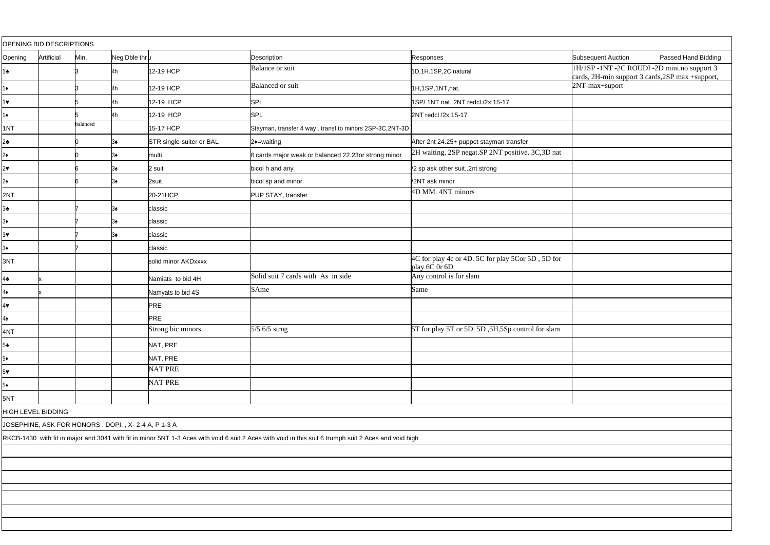| OPENING BID DESCRIPTIONS                                                                                                                              |            |          |               |                          |                                                          |                                                                              |                                                                                              |                     |  |  |  |
|-------------------------------------------------------------------------------------------------------------------------------------------------------|------------|----------|---------------|--------------------------|----------------------------------------------------------|------------------------------------------------------------------------------|----------------------------------------------------------------------------------------------|---------------------|--|--|--|
| Opening                                                                                                                                               | Artificial | Min.     | Neg Dble thru |                          | Description                                              | Responses                                                                    | <b>Subsequent Auction</b>                                                                    | Passed Hand Bidding |  |  |  |
| $1 +$                                                                                                                                                 |            |          |               | 12-19 HCP                | <b>Balance or suit</b>                                   | 1D,1H.1SP,2C natural                                                         | 1H/1SP-1NT-2C ROUDI-2D mini.no support 3<br>cards, 2H-min support 3 cards, 2SP max +support, |                     |  |  |  |
| $1+$                                                                                                                                                  |            |          |               | 12-19 HCP                | <b>Balanced</b> or suit                                  | 1H,1SP,1NT,nat.                                                              | 2NT-max+suport                                                                               |                     |  |  |  |
| $1$ Y                                                                                                                                                 |            |          |               | 12-19 HCP                | SPL                                                      | 1SP/ 1NT nat. 2NT redcl /2x:15-17                                            |                                                                                              |                     |  |  |  |
| $1\spadesuit$                                                                                                                                         |            |          |               | 12-19 HCP                | SPL                                                      | 2NT redcl /2x:15-17                                                          |                                                                                              |                     |  |  |  |
| 1NT                                                                                                                                                   |            | balanced |               | 15-17 HCP                | Stayman, transfer 4 way . transf to minors 2SP-3C,2NT-3D |                                                                              |                                                                                              |                     |  |  |  |
| $2\bullet$                                                                                                                                            |            |          |               | STR single-suiter or BAL | 2+=waiting                                               | After 2nt 24.25+ puppet stayman transfer                                     |                                                                                              |                     |  |  |  |
| $2*$                                                                                                                                                  |            |          |               | multi                    | 6 cards major weak or balanced 22.23or strong minor      | 2H waiting, 2SP negat.SP 2NT positive. 3C,3D nat                             |                                                                                              |                     |  |  |  |
| $2\bullet$                                                                                                                                            |            |          |               | 2 suit                   | bicol h and any                                          | /2 sp ask other suit2nt strong                                               |                                                                                              |                     |  |  |  |
| $2\spadesuit$                                                                                                                                         |            |          |               | 2suit                    | bicol sp and minor                                       | /2NT ask minor                                                               |                                                                                              |                     |  |  |  |
| 2NT                                                                                                                                                   |            |          |               | 20-21HCP                 | PUP STAY, transfer                                       | 4D MM. 4NT minors                                                            |                                                                                              |                     |  |  |  |
| $3\bullet$                                                                                                                                            |            |          |               | classic                  |                                                          |                                                                              |                                                                                              |                     |  |  |  |
| $3*$                                                                                                                                                  |            |          |               | classic                  |                                                          |                                                                              |                                                                                              |                     |  |  |  |
| $3\blacktriangledown$                                                                                                                                 |            |          |               | classic                  |                                                          |                                                                              |                                                                                              |                     |  |  |  |
| $3\spadesuit$                                                                                                                                         |            |          |               | classic                  |                                                          |                                                                              |                                                                                              |                     |  |  |  |
| 3NT                                                                                                                                                   |            |          |               | solid minor AKDxxxx      |                                                          | 4C for play 4c or 4D. 5C for play 5Cor 5D, 5D for<br>play $6\dot{C}$ Or $6D$ |                                                                                              |                     |  |  |  |
| $4\bullet$                                                                                                                                            |            |          |               | Namiats to bid 4H        | Solid suit 7 cards with As in side                       | Any control is for slam                                                      |                                                                                              |                     |  |  |  |
| 4♦                                                                                                                                                    |            |          |               | Namyats to bid 4S        | SAme                                                     | Same                                                                         |                                                                                              |                     |  |  |  |
| $4\blacktriangledown$                                                                                                                                 |            |          |               | PRE                      |                                                          |                                                                              |                                                                                              |                     |  |  |  |
| $4\spadesuit$                                                                                                                                         |            |          |               | PRE                      |                                                          |                                                                              |                                                                                              |                     |  |  |  |
| 4NT                                                                                                                                                   |            |          |               | Strong bic minors        | 5/5 6/5 strng                                            | 5T for play 5T or 5D, 5D, 5H, 5Sp control for slam                           |                                                                                              |                     |  |  |  |
| $5\bullet$                                                                                                                                            |            |          |               | NAT, PRE                 |                                                          |                                                                              |                                                                                              |                     |  |  |  |
| $5*$                                                                                                                                                  |            |          |               | NAT, PRE                 |                                                          |                                                                              |                                                                                              |                     |  |  |  |
| $5\bullet$                                                                                                                                            |            |          |               | <b>NAT PRE</b>           |                                                          |                                                                              |                                                                                              |                     |  |  |  |
| $5\spadesuit$                                                                                                                                         |            |          |               | <b>NAT PRE</b>           |                                                          |                                                                              |                                                                                              |                     |  |  |  |
| 5NT                                                                                                                                                   |            |          |               |                          |                                                          |                                                                              |                                                                                              |                     |  |  |  |
| HIGH LEVEL BIDDING                                                                                                                                    |            |          |               |                          |                                                          |                                                                              |                                                                                              |                     |  |  |  |
| JOSEPHINE, ASK FOR HONORS . DOPI, , X-2-4 A, P 1-3 A                                                                                                  |            |          |               |                          |                                                          |                                                                              |                                                                                              |                     |  |  |  |
| RKCB-1430 with fit in major and 3041 with fit in minor 5NT 1-3 Aces with void 6 suit 2 Aces with void in this suit 6 trumph suit 2 Aces and void high |            |          |               |                          |                                                          |                                                                              |                                                                                              |                     |  |  |  |
|                                                                                                                                                       |            |          |               |                          |                                                          |                                                                              |                                                                                              |                     |  |  |  |
|                                                                                                                                                       |            |          |               |                          |                                                          |                                                                              |                                                                                              |                     |  |  |  |
|                                                                                                                                                       |            |          |               |                          |                                                          |                                                                              |                                                                                              |                     |  |  |  |
|                                                                                                                                                       |            |          |               |                          |                                                          |                                                                              |                                                                                              |                     |  |  |  |
|                                                                                                                                                       |            |          |               |                          |                                                          |                                                                              |                                                                                              |                     |  |  |  |
|                                                                                                                                                       |            |          |               |                          |                                                          |                                                                              |                                                                                              |                     |  |  |  |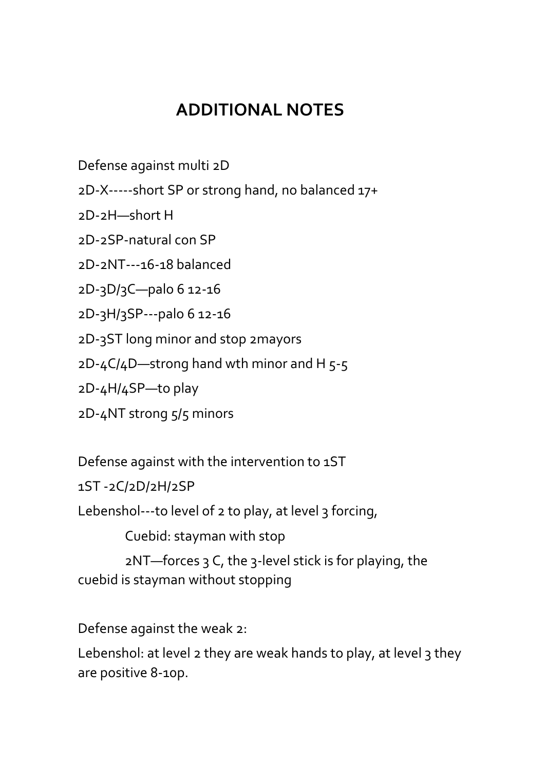## **ADDITIONAL NOTES**

Defense against multi 2D

2D-X-----short SP or strong hand, no balanced 17+

2D-2H—short H

2D-2SP-natural con SP

2D-2NT---16-18 balanced

2D-3D/3C—palo 6 12-16

2D-3H/3SP---palo 6 12-16

2D-3ST long minor and stop 2mayors

 $2D-4C/4D$ —strong hand wth minor and H 5-5

2D-4H/4SP—to play

2D-4NT strong 5/5 minors

Defense against with the intervention to 1ST

1ST -2C/2D/2H/2SP

Lebenshol---to level of 2 to play, at level 3 forcing,

Cuebid: stayman with stop

 $2NT$ —forces 3 C, the 3-level stick is for playing, the cuebid is stayman without stopping

Defense against the weak 2:

Lebenshol: at level 2 they are weak hands to play, at level 3 they are positive 8-10p.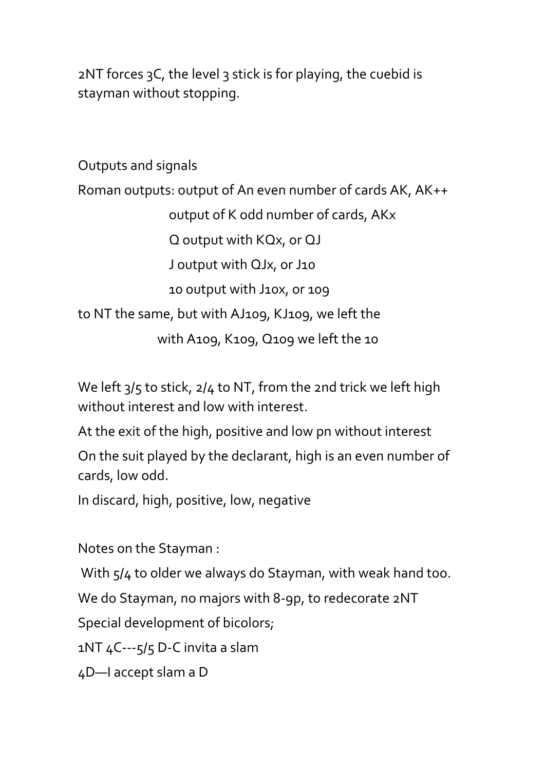2NT forces 3C, the level 3 stick is for playing, the cuebid is stayman without stopping.

```
Outputs and signals
Roman outputs: output of An even number of cards AK, AK++
                output of K odd number of cards, AKx
                Q output with KQx, or QJ
                J output with QJx, or J10
                10 output with J10x, or 109
to NT the same, but with AJ109, KJ109, we left the 
              with A109, K109, Q109 we left the 10
```
We left  $3/5$  to stick,  $2/4$  to NT, from the 2nd trick we left high without interest and low with interest.

At the exit of the high, positive and low pn without interest

On the suit played by the declarant, high is an even number of cards, low odd.

In discard, high, positive, low, negative

Notes on the Stayman :

With  $5/4$  to older we always do Stayman, with weak hand too.

We do Stayman, no majors with 8-9p, to redecorate 2NT

Special development of bicolors;

1NT 4C---5/5 D-C invita a slam

4D—I accept slam a D